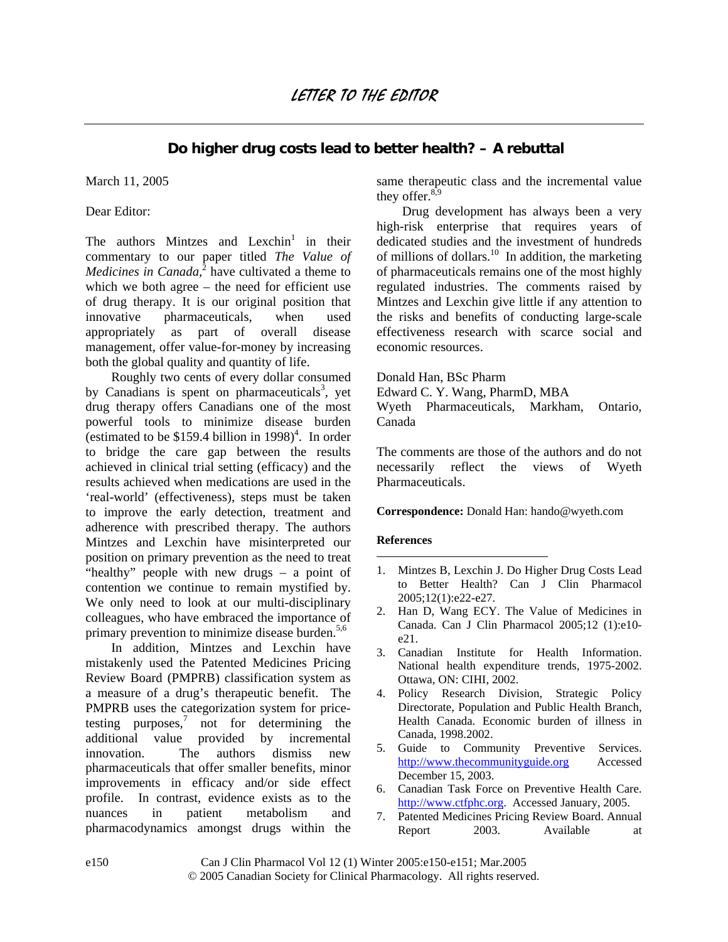## **Do higher drug costs lead to better health? – A rebuttal**

March 11, 2005

Dear Editor:

The authors Mintzes and Lexchin<sup>[1](#page-1-0)</sup> in their commentary to our paper titled *The Value of Medicines in Canada*,<sup>[2](#page-1-1)</sup> have cultivated a theme to which we both agree – the need for efficient use of drug therapy. It is our original position that innovative pharmaceuticals, when used appropriately as part of overall disease management, offer value-for-money by increasing both the global quality and quantity of life.

 Roughly two cents of every dollar consumed by Canadians is spent on pharmaceuticals<sup>[3](#page-1-2)</sup>, yet drug therapy offers Canadians one of the most powerful tools to minimize disease burden (estimated to be \$159.[4](#page-1-3) billion in 1998)<sup>4</sup>. In order to bridge the care gap between the results achieved in clinical trial setting (efficacy) and the results achieved when medications are used in the 'real-world' (effectiveness), steps must be taken to improve the early detection, treatment and adherence with prescribed therapy. The authors Mintzes and Lexchin have misinterpreted our position on primary prevention as the need to treat "healthy" people with new drugs – a point of contention we continue to remain mystified by. We only need to look at our multi-disciplinary colleagues, who have embraced the importance of primary prevention to minimize disease burden. $5,6$  $5,6$ 

 In addition, Mintzes and Lexchin have mistakenly used the Patented Medicines Pricing Review Board (PMPRB) classification system as a measure of a drug's therapeutic benefit. The PMPRB uses the categorization system for pricetestingpurposes, $\frac{7}{1}$  not for determining the additional value provided by incremental innovation. The authors dismiss new pharmaceuticals that offer smaller benefits, minor improvements in efficacy and/or side effect profile. In contrast, evidence exists as to the nuances in patient metabolism and pharmacodynamics amongst drugs within the same therapeutic class and the incremental value they offer. $8,9$  $8,9$ 

 Drug development has always been a very high-risk enterprise that requires years of dedicated studies and the investment of hundreds of millions of dollars.<sup>10</sup> In addition, the marketing of pharmaceuticals remains one of the most highly regulated industries. The comments raised by Mintzes and Lexchin give little if any attention to the risks and benefits of conducting large-scale effectiveness research with scarce social and economic resources.

Donald Han, BSc Pharm

Edward C. Y. Wang, PharmD, MBA

Wyeth Pharmaceuticals, Markham, Ontario, Canada

The comments are those of the authors and do not necessarily reflect the views of Wyeth Pharmaceuticals.

**Correspondence:** Donald Han: hando@wyeth.com

## **References**

<u>.</u>

- 1. Mintzes B, Lexchin J. Do Higher Drug Costs Lead to Better Health? Can J Clin Pharmacol 2005;12(1):e22-e27.
- 2. Han D, Wang ECY. The Value of Medicines in Canada. Can J Clin Pharmacol 2005;12 (1):e10 e21.
- 3. Canadian Institute for Health Information. National health expenditure trends, 1975-2002. Ottawa, ON: CIHI, 2002.
- 4. Policy Research Division, Strategic Policy Directorate, Population and Public Health Branch, Health Canada. Economic burden of illness in Canada, 1998.2002.
- 5. Guide to Community Preventive Services. http://www.thecommunityguide.org Accessed December 15, 2003.
- 6. Canadian Task Force on Preventive Health Care. http://www.ctfphc.org. Accessed January, 2005.
- 7. Patented Medicines Pricing Review Board. Annual Report 2003. Available at